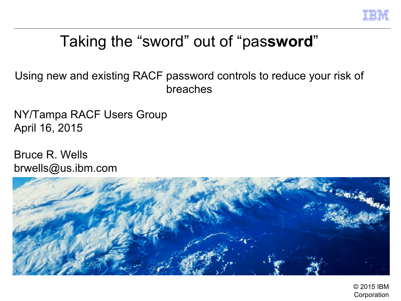

# Taking the "sword" out of "pas**sword**"

Using new and existing RACF password controls to reduce your risk of breaches

NY/Tampa RACF Users Group April 16, 2015

Bruce R. Wells brwells[@us.ibm.com](mailto:yourid@us.ibm.com)

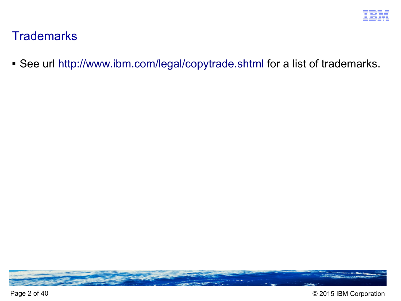# **Trademarks**

■ See url [http://www.ibm.com/legal/copytrade.shtml for a list of trademarks.](http://www.ibm.com/legal/copytrade.shtml)

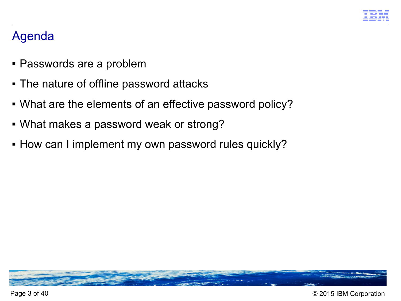

# Agenda

- Passwords are a problem
- The nature of offline password attacks
- What are the elements of an effective password policy?
- What makes a password weak or strong?
- **How can I implement my own password rules quickly?**

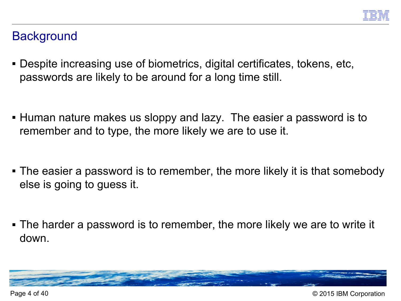# **Background**

- Despite increasing use of biometrics, digital certificates, tokens, etc, passwords are likely to be around for a long time still.
- Human nature makes us sloppy and lazy. The easier a password is to remember and to type, the more likely we are to use it.
- The easier a password is to remember, the more likely it is that somebody else is going to guess it.
- The harder a password is to remember, the more likely we are to write it down.

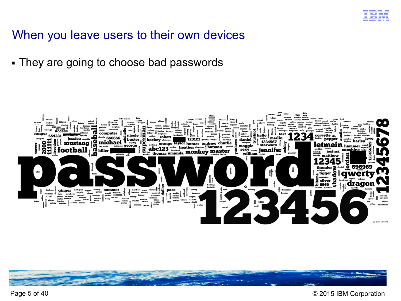

#### When you leave users to their own devices

■ They are going to choose bad passwords





Page 5 of 40 © 2015 IBM Corporation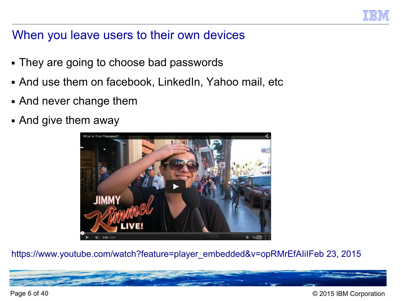

# When you leave users to their own devices

- They are going to choose bad passwords
- And use them on facebook, LinkedIn, Yahoo mail, etc
- And never change them
- And give them away



[https://www.youtube.com/watch?feature=player\\_embedded&v=opRMrEfAIiIFeb 23, 2015](https://www.youtube.com/watch?feature=player_embedded&v=opRMrEfAIiIFeb%2023,%202015)

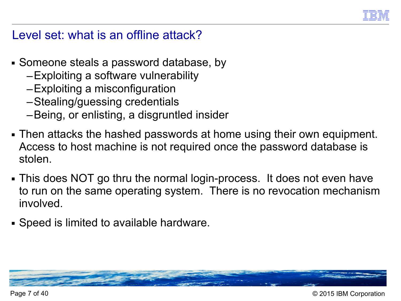

## Level set: what is an offline attack?

- Someone steals a password database, by
	- –Exploiting a software vulnerability
	- –Exploiting a misconfiguration
	- –Stealing/guessing credentials
	- –Being, or enlisting, a disgruntled insider
- Then attacks the hashed passwords at home using their own equipment. Access to host machine is not required once the password database is stolen.
- This does NOT go thru the normal login-process. It does not even have to run on the same operating system. There is no revocation mechanism involved.
- Speed is limited to available hardware.

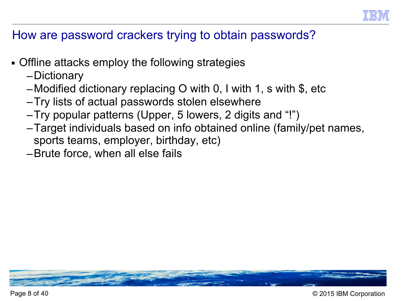

# How are password crackers trying to obtain passwords?

- Offline attacks employ the following strategies
	- –Dictionary
	- –Modified dictionary replacing O with 0, I with 1, s with  $\frac{1}{2}$ , etc
	- –Try lists of actual passwords stolen elsewhere
	- –Try popular patterns (Upper, 5 lowers, 2 digits and "!")
	- –Target individuals based on info obtained online (family/pet names, sports teams, employer, birthday, etc)
	- –Brute force, when all else fails

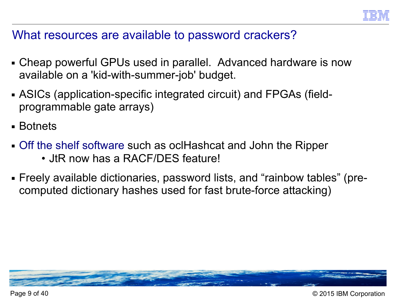

#### What resources are available to password crackers?

- Cheap powerful GPUs used in parallel. Advanced hardware is now available on a 'kid-with-summer-job' budget.
- ASICs (application-specific integrated circuit) and FPGAs (fieldprogrammable gate arrays)
- Botnets
- [Off the shelf software such as oclHashcat and John the Ripper](http://sectools.org/tag/pass-audit/) • JtR now has a RACF/DES feature!
- Freely available dictionaries, password lists, and "rainbow tables" (precomputed dictionary hashes used for fast brute-force attacking)

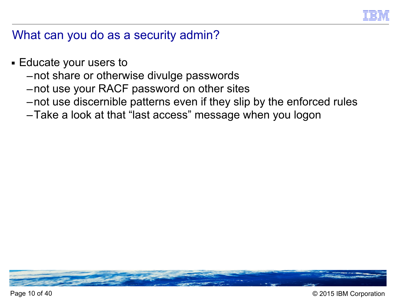

# What can you do as a security admin?

- Educate your users to
	- –not share or otherwise divulge passwords
	- –not use your RACF password on other sites
	- –not use discernible patterns even if they slip by the enforced rules
	- –Take a look at that "last access" message when you logon

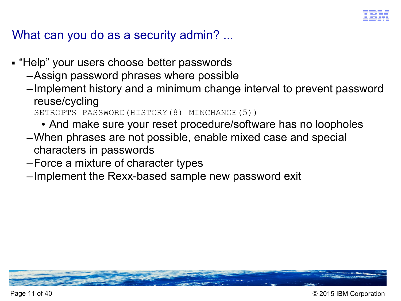

#### What can you do as a security admin? ...

- "Help" your users choose better passwords
	- –Assign password phrases where possible
	- –Implement history and a minimum change interval to prevent password reuse/cycling

```
SETROPTS PASSWORD(HISTORY(8) MINCHANGE(5))
```
- And make sure your reset procedure/software has no loopholes
- –When phrases are not possible, enable mixed case and special characters in passwords
- –Force a mixture of character types
- –Implement the Rexx-based sample new password exit

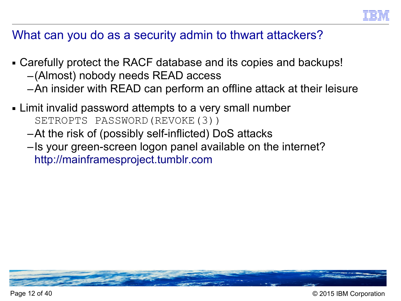

# What can you do as a security admin to thwart attackers?

- Carefully protect the RACF database and its copies and backups!
	- –(Almost) nobody needs READ access
	- –An insider with READ can perform an offline attack at their leisure
- Limit invalid password attempts to a very small number SETROPTS PASSWORD(REVOKE(3))
	- –At the risk of (possibly self-inflicted) DoS attacks
	- –Is your green-screen logon panel available on the internet? [http://mainframesproject.tumblr.com](http://mainframesproject.tumblr.com/)

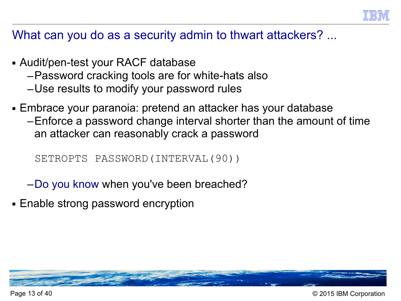

What can you do as a security admin to thwart attackers? ...

- Audit/pen-test your RACF database
	- –Password cracking tools are for white-hats also
	- –Use results to modify your password rules
- Embrace your paranoia: pretend an attacker has your database
	- –Enforce a password change interval shorter than the amount of time an attacker can reasonably crack a password

SETROPTS PASSWORD(INTERVAL(90))

- –[Do you know when you've been breached?](http://www.networkworld.com/article/2888273/many-attackers-lurk-undetected-for-months-then-pounce-study-finds.html)
- Enable strong password encryption

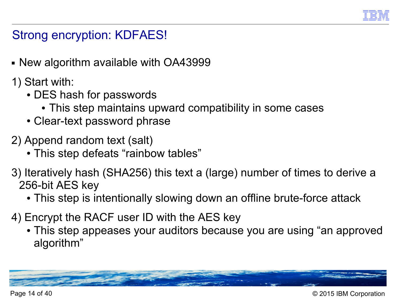

# Strong encryption: KDFAES!

- New algorithm available with OA43999
- 1) Start with:
	- DES hash for passwords
		- This step maintains upward compatibility in some cases
	- Clear-text password phrase
- 2) Append random text (salt)
	- This step defeats "rainbow tables"
- 3) Iteratively hash (SHA256) this text a (large) number of times to derive a 256-bit AES key
	- This step is intentionally slowing down an offline brute-force attack
- 4) Encrypt the RACF user ID with the AES key
	- This step appeases your auditors because you are using "an approved algorithm"

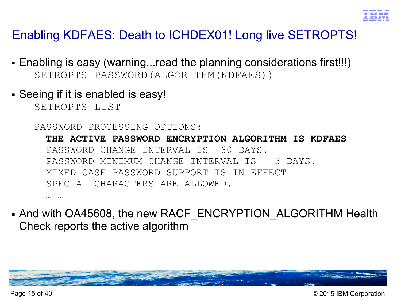

# Enabling KDFAES: Death to ICHDEX01! Long live SETROPTS!

- Enabling is easy (warning...read the planning considerations first!!!) SETROPTS PASSWORD(ALGORITHM(KDFAES))
- Seeing if it is enabled is easy!

SETROPTS LIST

PASSWORD PROCESSING OPTIONS:

 **THE ACTIVE PASSWORD ENCRYPTION ALGORITHM IS KDFAES** PASSWORD CHANGE INTERVAL IS 60 DAYS. PASSWORD MINIMUM CHANGE INTERVAL IS 3 DAYS. MIXED CASE PASSWORD SUPPORT IS IN EFFECT SPECIAL CHARACTERS ARE ALLOWED.

… …

- And with OA45608, the new RACF\_ENCRYPTION\_ALGORITHM Health Check reports the active algorithm



Page 15 of 40 © 2015 IBM Corporation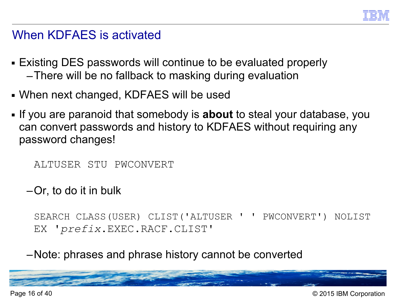

#### When KDFAES is activated

- Existing DES passwords will continue to be evaluated properly –There will be no fallback to masking during evaluation
- When next changed, KDFAES will be used
- If you are paranoid that somebody is **about** to steal your database, you can convert passwords and history to KDFAES without requiring any password changes!

```
ALTUSER STU PWCONVERT
```
–Or, to do it in bulk

SEARCH CLASS(USER) CLIST('ALTUSER ' ' PWCONVERT') NOLIST EX '*prefix*.EXEC.RACF.CLIST'

–Note: phrases and phrase history cannot be converted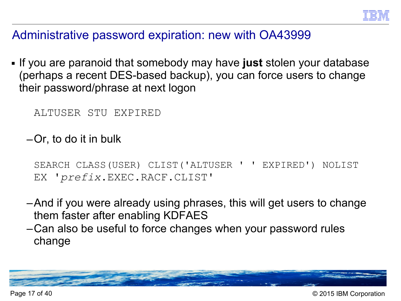

#### Administrative password expiration: new with OA43999

■ If you are paranoid that somebody may have **just** stolen your database (perhaps a recent DES-based backup), you can force users to change their password/phrase at next logon

```
ALTUSER STU EXPIRED
```
–Or, to do it in bulk

```
SEARCH CLASS(USER) CLIST('ALTUSER ' ' EXPIRED') NOLIST
EX 'prefix.EXEC.RACF.CLIST'
```
- –And if you were already using phrases, this will get users to change them faster after enabling KDFAES
- –Can also be useful to force changes when your password rules change

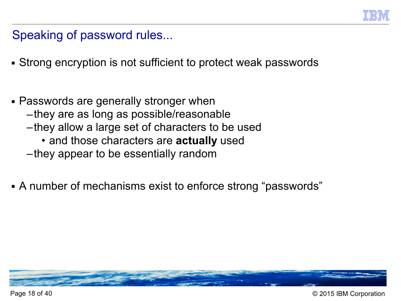

Speaking of password rules...

- Strong encryption is not sufficient to protect weak passwords
- Passwords are generally stronger when
	- –they are as long as possible/reasonable
	- –they allow a large set of characters to be used
		- and those characters are **actually** used
	- –they appear to be essentially random
- A number of mechanisms exist to enforce strong "passwords"

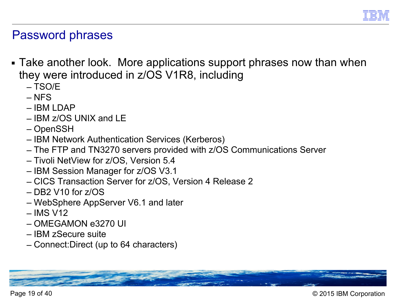

#### Password phrases

- Take another look. More applications support phrases now than when they were introduced in z/OS V1R8, including
	- TSO/E
	- NFS
	- IBM LDAP
	- IBM z/OS UNIX and LE
	- OpenSSH
	- IBM Network Authentication Services (Kerberos)
	- The FTP and TN3270 servers provided with z/OS Communications Server
	- Tivoli NetView for z/OS, Version 5.4
	- IBM Session Manager for z/OS V3.1
	- CICS Transaction Server for z/OS, Version 4 Release 2
	- $–$  DB2 V10 for  $z/OS$
	- WebSphere AppServer V6.1 and later
	- IMS V12
	- OMEGAMON e3270 UI
	- IBM zSecure suite
	- Connect:Direct (up to 64 characters)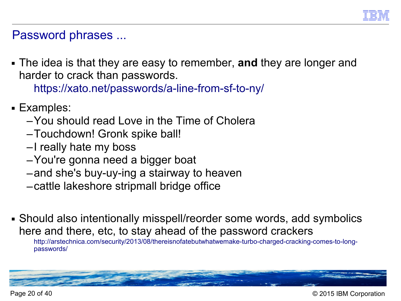

#### Password phrases ...

■ The idea is that they are easy to remember, **and** they are longer and harder to crack than passwords.

[https://xato.net/passwords/a-line-from-sf-to-ny/](http://webcache.googleusercontent.com/search?q=cache:dJFOxqtf0IEJ:https://xato.net/passwords/a-line-from-sf-to-ny/+&cd=1&hl=en&ct=clnk&gl=us#.VS1mwmNAms0)

- Examples:
	- –You should read Love in the Time of Cholera
	- –Touchdown! Gronk spike ball!
	- –I really hate my boss
	- –You're gonna need a bigger boat
	- –and she's buy-uy-ing a stairway to heaven
	- –cattle lakeshore stripmall bridge office
- Should also intentionally misspell/reorder some words, add symbolics here and there, etc, to stay ahead of the password crackers

[http://arstechnica.com/security/2013/08/thereisnofatebutwhatwemake-turbo-charged-cracking-comes-to-long](http://arstechnica.com/security/2013/08/thereisnofatebutwhatwemake-turbo-charged-cracking-comes-to-long-passwords/)[passwords/](http://arstechnica.com/security/2013/08/thereisnofatebutwhatwemake-turbo-charged-cracking-comes-to-long-passwords/)



Page 20 of 40 © 2015 IBM Corporation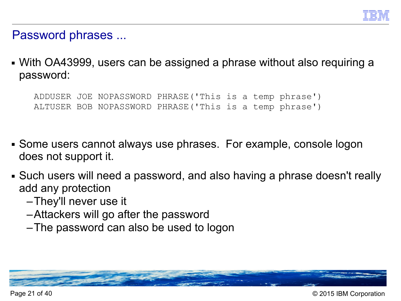

Password phrases ...

■ With OA43999, users can be assigned a phrase without also requiring a password:

ADDUSER JOE NOPASSWORD PHRASE('This is a temp phrase') ALTUSER BOB NOPASSWORD PHRASE('This is a temp phrase')

- Some users cannot always use phrases. For example, console logon does not support it.
- Such users will need a password, and also having a phrase doesn't really add any protection
	- –They'll never use it
	- –Attackers will go after the password
	- –The password can also be used to logon

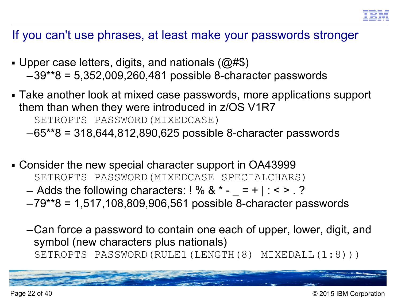## If you can't use phrases, at least make your passwords stronger

- Upper case letters, digits, and nationals  $(\textcircled{a} \# \textcircled{s})$ –39\*\*8 = 5,352,009,260,481 possible 8-character passwords
- Take another look at mixed case passwords, more applications support them than when they were introduced in z/OS V1R7 SETROPTS PASSWORD(MIXEDCASE) –65\*\*8 = 318,644,812,890,625 possible 8-character passwords
- Consider the new special character support in OA43999 SETROPTS PASSWORD(MIXEDCASE SPECIALCHARS)
	- Adds the following characters:  $! \%$  &  $* = + | : < > . ?$
	- –79\*\*8 = 1,517,108,809,906,561 possible 8-character passwords
	- –Can force a password to contain one each of upper, lower, digit, and symbol (new characters plus nationals) SETROPTS PASSWORD(RULE1(LENGTH(8) MIXEDALL(1:8)))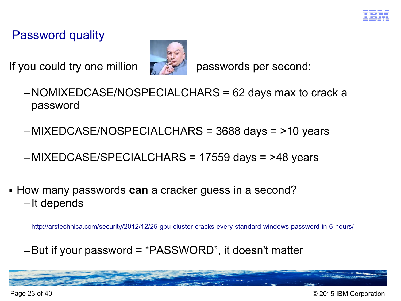# Password quality

If you could try one million  $\mathbb{R}$  passwords per second:



- –NOMIXEDCASE/NOSPECIALCHARS = 62 days max to crack a password
- –MIXEDCASE/NOSPECIALCHARS = 3688 days = >10 years

–MIXEDCASE/SPECIALCHARS = 17559 days = >48 years

■ How many passwords **can** a cracker guess in a second? –It depends

<http://arstechnica.com/security/2012/12/25-gpu-cluster-cracks-every-standard-windows-password-in-6-hours/>

–But if your password = "PASSWORD", it doesn't matter



Page 23 of 40 © 2015 IBM Corporation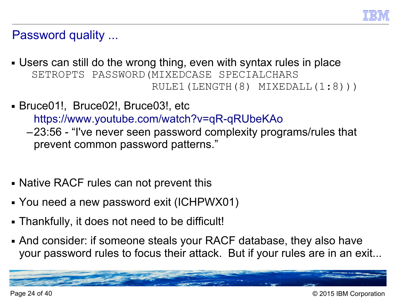

#### Password quality ...

- Users can still do the wrong thing, even with syntax rules in place SETROPTS PASSWORD(MIXEDCASE SPECIALCHARS RULE1(LENGTH(8) MIXEDALL(1:8)))
- Bruce01!, Bruce02!, Bruce03!, etc

<https://www.youtube.com/watch?v=qR-qRUbeKAo>

- –23:56 "I've never seen password complexity programs/rules that prevent common password patterns."
- Native RACF rules can not prevent this
- You need a new password exit (ICHPWX01)
- Thankfully, it does not need to be difficult!
- And consider: if someone steals your RACF database, they also have your password rules to focus their attack. But if your rules are in an exit...

Page 24 of 40 © 2015 IBM Corporation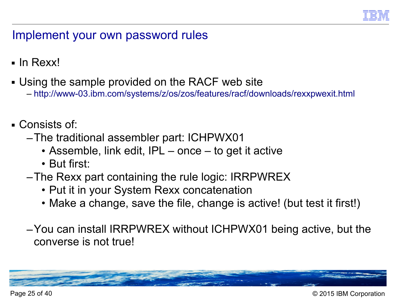

# Implement your own password rules

- In Rexx!
- Using the sample provided on the RACF web site
	- <http://www-03.ibm.com/systems/z/os/zos/features/racf/downloads/rexxpwexit.html>
- Consists of:
	- –The traditional assembler part: ICHPWX01
		- Assemble, link edit, IPL once to get it active
		- But first:
	- –The Rexx part containing the rule logic: IRRPWREX
		- Put it in your System Rexx concatenation
		- Make a change, save the file, change is active! (but test it first!)
	- –You can install IRRPWREX without ICHPWX01 being active, but the converse is not true!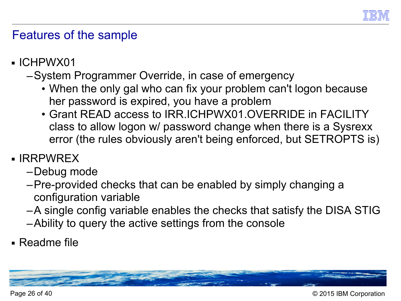

# Features of the sample

■ ICHPWX01

# –System Programmer Override, in case of emergency

- When the only gal who can fix your problem can't logon because her password is expired, you have a problem
- Grant READ access to IRR.ICHPWX01.OVERRIDE in FACILITY class to allow logon w/ password change when there is a Sysrexx error (the rules obviously aren't being enforced, but SETROPTS is)
- IRRPWREX
	- –Debug mode
	- –Pre-provided checks that can be enabled by simply changing a configuration variable
	- –A single config variable enables the checks that satisfy the DISA STIG
	- –Ability to query the active settings from the console
- Readme file

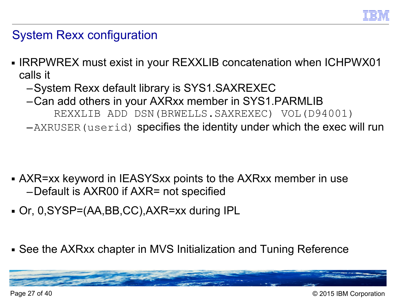

# System Rexx configuration

- IRRPWREX must exist in your REXXLIB concatenation when ICHPWX01 calls it
	- –System Rexx default library is SYS1.SAXREXEC
	- –Can add others in your AXRxx member in SYS1.PARMLIB
		- REXXLIB ADD DSN(BRWELLS.SAXREXEC) VOL(D94001)
	- –AXRUSER(userid) specifies the identity under which the exec will run

- AXR=xx keyword in IEASYSxx points to the AXRxx member in use –Default is AXR00 if AXR= not specified
- Or, 0,SYSP=(AA,BB,CC),AXR=xx during IPL
- See the AXRxx chapter in MVS Initialization and Tuning Reference

Page 27 of 40 © 2015 IBM Corporation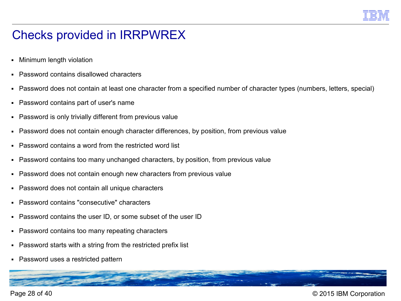

# Checks provided in IRRPWREX

- Minimum length violation
- Password contains disallowed characters
- Password does not contain at least one character from a specified number of character types (numbers, letters, special)
- Password contains part of user's name
- Password is only trivially different from previous value
- Password does not contain enough character differences, by position, from previous value
- Password contains a word from the restricted word list
- Password contains too many unchanged characters, by position, from previous value
- Password does not contain enough new characters from previous value
- Password does not contain all unique characters
- Password contains "consecutive" characters
- Password contains the user ID, or some subset of the user ID
- Password contains too many repeating characters
- Password starts with a string from the restricted prefix list
- Password uses a restricted pattern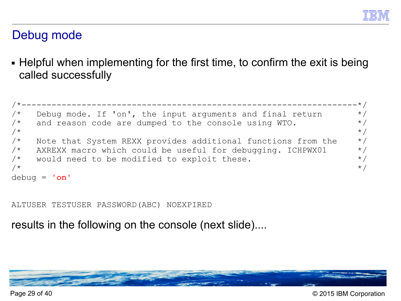# Debug mode

■ Helpful when implementing for the first time, to confirm the exit is being called successfully

```
/*-------------------------------------------------------------------*/
/* Debug mode. If 'on', the input arguments and final return */\frac{1}{2} and reason code are dumped to the console using WTO. \frac{1}{2} \frac{1}{2}/\star */
/* Note that System REXX provides additional functions from the *//* AXREXX macro which could be useful for debugging. ICHPWX01 *//* would need to be modified to exploit these. *//\star */
debug = 'on'
```
ALTUSER TESTUSER PASSWORD(ABC) NOEXPIRED

results in the following on the console (next slide)....

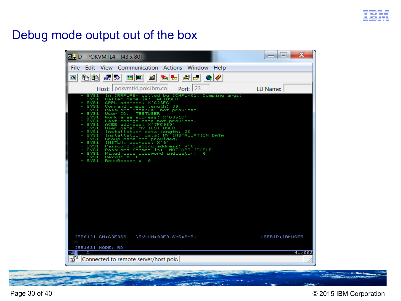

## Debug mode output out of the box

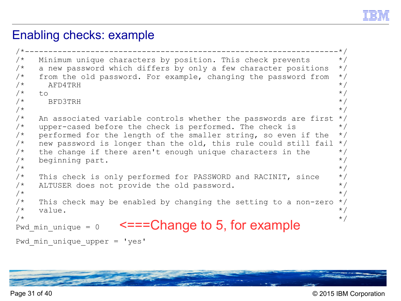

## Enabling checks: example

```
/*-------------------------------------------------------------------*/
/* Minimum unique characters by position. This check prevents */* a new password which differs by only a few character positions */\frac{1}{x} from the old password. For example, changing the password from \frac{x}{x}\sqrt{\star} af D4TRH \frac{1}{\sqrt{\star}}\sqrt{\star} to \sqrt{\star}\angle bedding the set of \angle \angle\sqrt{\star} \left.\begin{array}{ccc} \star & \star \end{array}\right./* An associated variable controls whether the passwords are first *//* upper-cased before the check is performed. The check is */\prime* performed for the length of the smaller string, so even if the \prime/
/* new password is longer than the old, this rule could still fail *//* the change if there aren't enough unique characters in the *//* beginning part. */\sqrt{\star} \left.\begin{array}{ccc} \star & \star \end{array}\right./* This check is only performed for PASSWORD and RACINIT, since *//* ALTUSER does not provide the old password. */\sqrt{\star} \left.\begin{array}{ccc} \star & \star \end{array}\right.\frac{1}{x} This check may be enabled by changing the setting to a non-zero \frac{x}{x}\forall* value. \forall/
\overbrace{\phantom{a}}^{\atop{\text{Pwd\_min\_unique}}} = 0 \overbrace{\phantom{a}}^{\text{H}} \overbrace{\phantom{a}}^{\text{H}} \overbrace{\phantom{a}}^{\text{H}} \overbrace{\phantom{a}}^{\text{H}} \overbrace{\phantom{a}}^{\text{H}}Pwd min unique = 0
Pwd min unique upper = 'yes'
```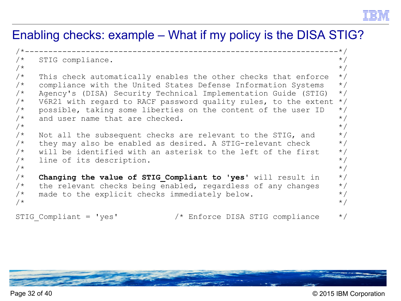

# Enabling checks: example – What if my policy is the DISA STIG?

```
/*-------------------------------------------------------------------*/
\frac{1}{2} STIG compliance.
/\star */
/* This check automatically enables the other checks that enforce *//* compliance with the United States Defense Information Systems *//* Agency's (DISA) Security Technical Implementation Guide (STIG) */
/* V6R21 with regard to RACF password quality rules, to the extent *//* possible, taking some liberties on the content of the user ID *//* and user name that are checked. */\sqrt{\star} \left.\begin{array}{ccc} \star & \star \end{array}\right./* Not all the subsequent checks are relevant to the STIG, and *//* they may also be enabled as desired. A STIG-relevant check *//* will be identified with an asterisk to the left of the first *//* line of its description. */\sqrt{\star} \left.\begin{array}{ccc} \star & \star \end{array}\right./* Changing the value of STIG Compliant to 'yes' will result in */
\frac{1}{x} the relevant checks being enabled, regardless of any changes \frac{x}{x}\frac{1}{x} made to the explicit checks immediately below. \frac{x}{1-x}\sqrt{\star} \left.\begin{array}{ccc} \star & \star \end{array}\right.STIG Compliant = 'yes' /* Enforce DISA STIG compliance */
```
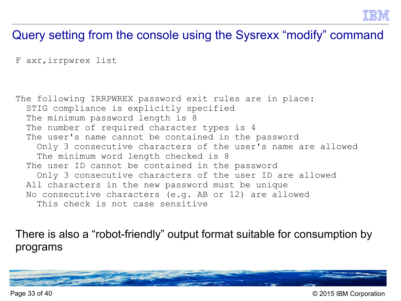

# Query setting from the console using the Sysrexx "modify" command

```
F axr,irrpwrex list
```
The following IRRPWREX password exit rules are in place: STIG compliance is explicitly specified The minimum password length is 8 The number of required character types is 4 The user's name cannot be contained in the password Only 3 consecutive characters of the user's name are allowed The minimum word length checked is 8 The user ID cannot be contained in the password Only 3 consecutive characters of the user ID are allowed All characters in the new password must be unique No consecutive characters (e.g. AB or 12) are allowed This check is not case sensitive

There is also a "robot-friendly" output format suitable for consumption by programs



Page 33 of 40 © 2015 IBM Corporation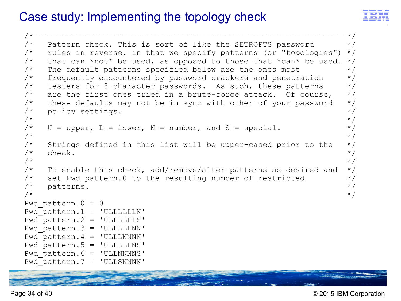# Case study: Implementing the topology check



```
/*-------------------------------------------------------------------*/
/* Pattern check. This is sort of like the SETROPTS password */
/* rules in reverse, in that we specify patterns (or "topologies") */\frac{1}{x} that can *not* be used, as opposed to those that *can* be used. */
/* The default patterns specified below are the ones most */\frac{1}{2} frequently encountered by password crackers and penetration \frac{1}{2}\frac{1}{x} testers for 8-character passwords. As such, these patterns \frac{x}{x}\frac{1}{x} are the first ones tried in a brute-force attack. Of course, \frac{x}{x}/* these defaults may not be in sync with other of your password */\frac{1}{2} policy settings.
\sqrt{\star} \left.\begin{array}{ccc} \star & \star \end{array}\right.\frac{1}{x} U = upper, L = lower, N = number, and S = special. \frac{x}{x}\sqrt{\star} \left.\begin{array}{ccc} \star & \star \end{array}\right./* Strings defined in this list will be upper-cased prior to the */\sqrt{\star} check. \star/\sqrt{\star} \left.\begin{array}{ccc} \star & \star \end{array}\right.\frac{1}{2} To enable this check, add/remove/alter patterns as desired and \frac{1}{2}/* set Pwd pattern.0 to the resulting number of restricted */\sqrt{\frac{1}{\pi}} patterns.
\sqrt{\star} \left.\begin{array}{ccc} \star & \star \end{array}\right.Pwd pattern. 0 = 0Pwd pattern.1 = 'ULLLLLLN'Pwd pattern.2 = 'ULLLLLLS'
Pwd pattern. 3 = 'ULLLLLNN'Pwd pattern. 4 = 'ULLLNNNN'Pwd pattern.5 = 'ULLLLLNS'Pwd pattern.6 = 'ULLNNNNS'
Pwd pattern.7 = 'ULLSNNNN'
```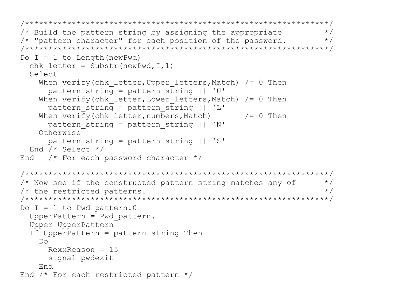```
/*****************************************************************/
/* Build the pattern string by assigning the appropriate */
/* "pattern character" for each position of the password. * //*****************************************************************/
Do I = 1 to Length (newPwd)
  chk letter = Substr(newPwd, I, 1)
   Select 
    When verify(chk letter, Upper letters, Match) /= 0 Then
      pattern string = pattern string || 'U'
    When verify(chk letter, Lower letters, Match) /= 0 Then
      pattern string = pattern string || \cdot L'When verify(chk letter, numbers, Match) / = 0 Then
      pattern string = pattern string || \cdot W'|| Otherwise 
       pattern_string = pattern_string || 'S' 
   End /* Select */ 
End /* For each password character *//*****************************************************************/
\frac{1}{x} Now see if the constructed pattern string matches any of \frac{x}{x}\frac{1}{2} the restricted patterns.
/*****************************************************************/
Do I = 1 to Pwd pattern.0
   UpperPattern = Pwd_pattern.I 
  Upper UpperPattern 
   If UpperPattern = pattern_string Then 
     Do 
      RexxReason = 15
       signal pwdexit 
     End 
End /* For each restricted pattern */
```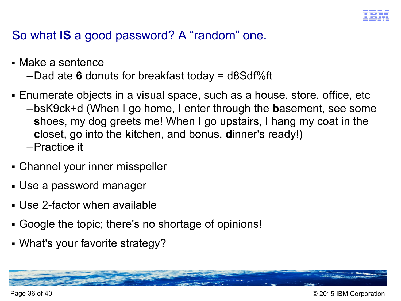

# So what **IS** a good password? A "random" one.

- Make a sentence
	- –Dad ate **6** donuts for breakfast today = d8Sdf%ft
- Enumerate objects in a visual space, such as a house, store, office, etc
	- –bsK9ck+d (When I go home, I enter through the **b**asement, see some **s**hoes, my dog greets me! When I go upstairs, I hang my coat in the **c**loset, go into the **k**itchen, and bonus, **d**inner's ready!) –Practice it
- Channel your inner misspeller
- Use a password manager
- Use 2-factor when available
- Google the topic; there's no shortage of opinions!
- What's your favorite strategy?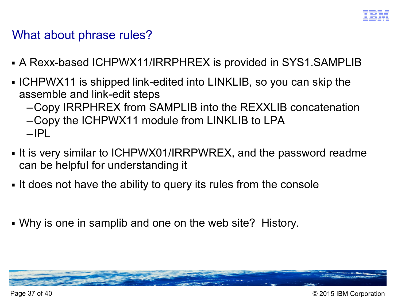

#### What about phrase rules?

- A Rexx-based ICHPWX11/IRRPHREX is provided in SYS1.SAMPLIB
- ICHPWX11 is shipped link-edited into LINKLIB, so you can skip the assemble and link-edit steps
	- –Copy IRRPHREX from SAMPLIB into the REXXLIB concatenation
	- –Copy the ICHPWX11 module from LINKLIB to LPA –IPL
- It is very similar to ICHPWX01/IRRPWREX, and the password readme can be helpful for understanding it
- It does not have the ability to query its rules from the console
- Why is one in samplib and one on the web site? History.

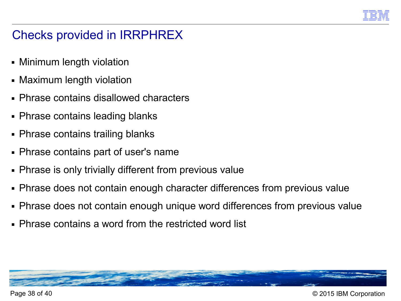

# Checks provided in IRRPHREX

- Minimum length violation
- Maximum length violation
- Phrase contains disallowed characters
- Phrase contains leading blanks
- Phrase contains trailing blanks
- Phrase contains part of user's name
- Phrase is only trivially different from previous value
- Phrase does not contain enough character differences from previous value
- Phrase does not contain enough unique word differences from previous value
- Phrase contains a word from the restricted word list



Page 38 of 40 © 2015 IBM Corporation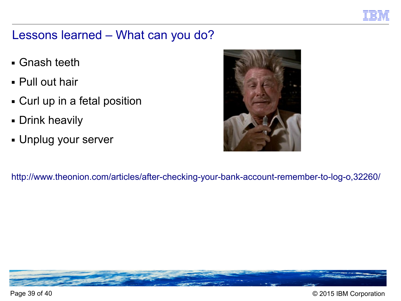

# Lessons learned – What can you do?

- Gnash teeth
- Pull out hair
- Curl up in a fetal position
- Drink heavily
- Unplug your server



<http://www.theonion.com/articles/after-checking-your-bank-account-remember-to-log-o,32260/>



Page 39 of 40 © 2015 IBM Corporation